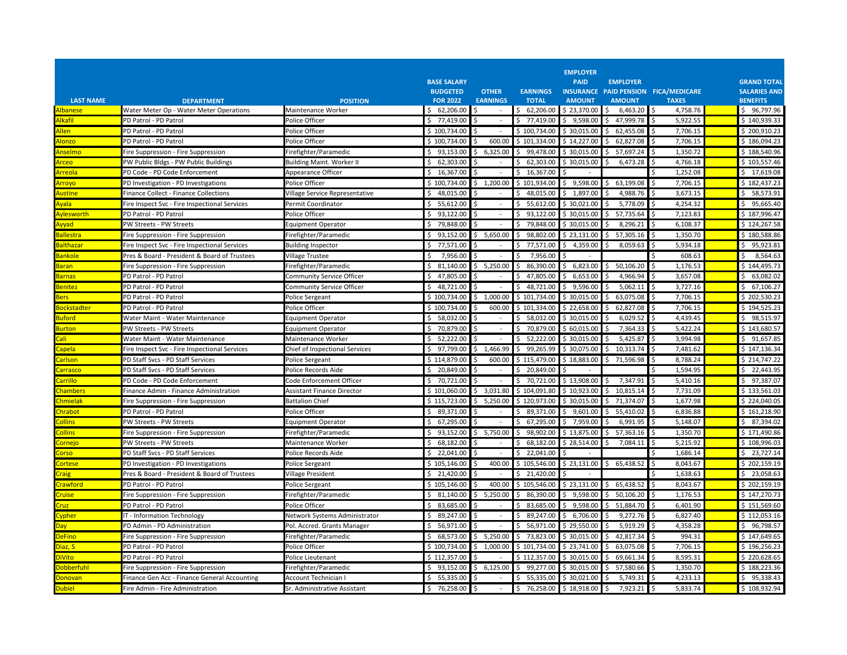|                          |                                                                                  |                                             | <b>BASE SALARY</b>          |                    |                                 | <b>EMPLOYER</b><br><b>PAID</b> | <b>EMPLOYER</b>             |                                      | <b>GRAND TOTAL</b>          |
|--------------------------|----------------------------------------------------------------------------------|---------------------------------------------|-----------------------------|--------------------|---------------------------------|--------------------------------|-----------------------------|--------------------------------------|-----------------------------|
|                          |                                                                                  |                                             | <b>BUDGETED</b>             | <b>OTHER</b>       | <b>EARNINGS</b>                 |                                |                             | INSURANCE PAID PENSION FICA/MEDICARE | <b>SALARIES AND</b>         |
| <b>LAST NAME</b>         | <b>DEPARTMENT</b>                                                                | <b>POSITION</b>                             | <b>FOR 2022</b>             | <b>EARNINGS</b>    | <b>TOTAL</b>                    | <b>AMOUNT</b>                  | <b>AMOUNT</b>               | <b>TAXES</b>                         | <b>BENEFITS</b>             |
| Albanese                 | Water Meter Op - Water Meter Operations                                          | Maintenance Worker                          | 62,206.00<br>\$             | \$                 | 62,206.00<br>\$                 | \$23,370.00                    | 6,463.20<br>\$              | 4,758.76<br>l \$                     | \$96,797.96                 |
| <b>Ikafil</b>            | PD Patrol - PD Patrol                                                            | Police Officer                              | \$ 77,419.00                | Ś                  | Ś.<br>77,419.00                 | \$9,598.00                     | 47,999.78<br>Ś.             | 5,922.55<br><sup>\$</sup>            | \$140.939.33                |
| Allen                    | PD Patrol - PD Patrol                                                            | Police Officer                              | \$100.734.00                |                    | \$100,734.00                    | \$30,015.00                    | 62,455.08<br>Ś.             | 7.706.15                             | \$200.910.23                |
| <b>Nonzo</b>             | PD Patrol - PD Patrol                                                            | Police Officer                              | \$100,734.00                | 600.00<br>ς.       | \$101,334.00                    | \$14,227.00                    | 62,827.08<br>ς.             | 7,706.15<br>$\zeta$                  | \$186,094.23                |
| <u>\nselmo</u>           | Fire Suppression - Fire Suppression                                              | Firefighter/Paramedic                       | \$93.153.00                 | 6.325.00<br>Ŝ.     | Ś.<br>99,478.00                 | \$ 30.015.00                   | Ś<br>57,697.24              | 1,350.72                             | \$188,540.96                |
| <b><u>rceo</u></b>       | PW Public Bldgs - PW Public Buildings                                            | Building Maint. Worker I                    | \$62,303.00                 |                    | 62,303.00                       | \$30,015.00                    | 6,473.28                    | 4,766.18                             | \$103,557.46                |
| <b>Arreola</b>           | PD Code - PD Code Enforcement                                                    | Appearance Officer                          | \$16,367.00                 | Ś                  | 16,367.00                       |                                |                             | 1,252.08                             | Ś<br>17,619.08              |
| Arroyo                   | PD Investigation - PD Investigations                                             | Police Officer                              | \$100,734.00                | \$1,200.00         | \$101,934.00                    | 9,598.00<br>\$                 | 63,199.08<br>Ŝ.             | 7,706.15<br>-Ś                       | \$182,437.23                |
| Austine                  | Finance Collect - Finance Collections                                            | Village Service Representative              | \$48,015.00                 | ς.                 | \$48,015.00                     | $5$ 1.897.00                   | 4.988.76                    | 3.673.15                             | \$58,573.91                 |
| <u>\vala_</u>            | Fire Inspect Svc - Fire Inspectional Services                                    | Permit Coordinator                          | \$5,612.00                  | Ŝ.                 | 55,612.00<br>S.                 | \$30,021.00                    | 5,778.09<br>S               | 4,254.32                             | \$95,665.40                 |
| <b>vlesworth</b>         | PD Patrol - PD Patrol                                                            | Police Officer                              | \$93,122.00                 | Ŝ                  | 93,122.00<br>\$                 | \$30,015.00                    | 57,735.64<br>Ŝ              | 7,123.83                             | \$187,996.47                |
| Avvad                    | PW Streets - PW Streets                                                          | Equipment Operator                          | \$<br>79,848.00             | -Ś                 | 79,848.00<br>Ś.                 | \$30,015.00                    | 8,296.21<br>\$              | 6,108.37<br>۱Ś                       | \$124,267.58                |
| Ballestra                | Fire Suppression - Fire Suppression                                              | Firefighter/Paramedic                       | \$<br>93,152.00             | 5,650.00<br>\$     | \$<br>98,802.00                 | \$23,131.00                    | 57,305.16<br>Ŝ              | 1,350.70<br>.S                       | \$180,588.86                |
| Balthazar                | Fire Inspect Svc - Fire Inspectional Services                                    | <b>Building Inspector</b>                   | 77,571.00<br>Ś.             |                    | 77,571.00                       | 4,359.00<br>Ś                  | 8,059.63                    | 5,934.18                             | 95,923.81<br>\$             |
| Bankole                  | Pres & Board - President & Board of Trustees                                     | Village Trustee                             | Ŝ.<br>7,956.00              |                    | 7,956.00<br>Ŝ                   |                                |                             | 608.63                               | 8,564.63<br>Ś.              |
| <b>Jaran</b>             | Fire Suppression - Fire Suppression                                              | Firefighter/Paramedic                       | \$31,140.00                 | \$5,250.00         | 86,390.00<br>Ś.                 | \$6,823.00                     | 50,106.20<br>ς.             | 1,176.53                             | \$144,495.73                |
| <b>Jarnas</b>            | PD Patrol - PD Patrol                                                            | <b>Community Service Officer</b>            | Ŝ.<br>47.805.00             |                    | 47.805.00                       | 6,653.00                       | 4.966.94                    | 3,657.08                             | \$63,082.02                 |
| <b>Benitez</b>           | PD Patrol - PD Patrol                                                            | <b>Community Service Officer</b>            | Ŝ.<br>48,721.00             | \$                 | ς<br>48,721.00                  | 9,596.00<br>Ś.                 | 5,062.11                    | 3,727.16<br><b>&lt;</b>              | \$<br>67,106.27             |
| Bers                     | PD Patrol - PD Patrol                                                            | Police Sergeant                             | \$100,734.00                | 1.000.00<br>\$     | \$101,734.00                    | \$30,015.00                    | 63,075.08<br>Ŝ              | 7,706.15<br>-Ś                       | \$202,530.23                |
| 3 ockstadter             | PD Patrol - PD Patrol                                                            | Police Officer                              | \$100,734.00                | 600.00<br>Ŝ        | \$101,334.00                    | \$22,658.00                    | 62,827.08<br>Ŝ              | 7,706.15<br>S,                       | \$194,525.23                |
| uford                    | Water Maint - Water Maintenance                                                  | Equipment Operator                          | \$58,032.00                 | Š.                 | 58,032.00<br>ς.                 | \$ 30.015.00                   | 6.029.52<br>ς.              | 4.439.45                             | \$98,515.97                 |
| <b>Surton</b>            | PW Streets - PW Streets                                                          | Equipment Operator                          | \$70,879.00                 | Ŝ                  | Ś.<br>70,879.00                 | \$60,015.00                    | 7,364.33                    | 5,422.24                             | \$143,680.57                |
| <u>`ali</u>              |                                                                                  | Maintenance Worker                          | \$<br>52,222.00             | Ś                  | 52,222.00<br>Ś                  | \$30,015.00                    | 5,425.87<br>\$              | 3,994.98<br>S,                       | \$91,657.85                 |
| apela:                   | Water Maint - Water Maintenance<br>Fire Inspect Svc - Fire Inspectional Services | Chief of Inspectional Services              | \$97,799.00                 | \$1,466.99         | 99,265.99<br>Ś.                 | \$30,075.00                    | 10,313.74<br>\$             | 7,481.62<br><sup>\$</sup>            | \$147,136.34                |
|                          |                                                                                  |                                             | \$114,879.00                | 600.00<br>.s       | \$115,479.00                    | \$18,883.00                    | \$<br>71,596.98             | 8,788.24                             | \$214,747.22                |
| <u>arlson</u><br>arrasco | PD Staff Svcs - PD Staff Services<br>PD Staff Svcs - PD Staff Services           | Police Sergeant<br>Police Records Aide      | \$20.849.00                 | Ŝ                  | \$20.849.00                     |                                |                             | 1,594.95                             | \$22,443.95                 |
| arrillo                  |                                                                                  |                                             |                             | Š.                 |                                 |                                | Ŝ                           |                                      |                             |
| Chamber:                 | PD Code - PD Code Enforcement                                                    | Code Enforcement Officer                    | \$70,721.00                 | \$3,031.80         | 70,721.00<br>\$<br>\$104,091.80 | \$13,908.00<br>\$10,923.00     | 7,347.91<br>10,815.14<br>ς. | 5,410.16<br>7,731.09                 | \$97,387.07<br>\$133,561.03 |
| <b>Chmielak</b>          | Finance Admin - Finance Administration                                           | <b>Assistant Finance Director</b>           | \$101,060.00                | Ŝ.<br>5,250.00     | \$120,973.00                    |                                | 71.374.07<br>Ś              | 1,677.98                             | \$224,040.05                |
| <b>Chrabot</b>           | Fire Suppression - Fire Suppression<br>PD Patrol - PD Patrol                     | <b>Battalion Chief</b><br>Police Officer    | \$115,723.00<br>\$89,371.00 |                    | 89,371.00                       | \$30,015.00<br>9,601.00        | 55,410.02                   | 6,836.88                             | \$161,218.90                |
| <b>Collins</b>           | PW Streets - PW Streets                                                          |                                             | \$67,295.00                 | Š.                 | 67,295.00                       | 7,959.00<br>ς.                 | Ŝ<br>6,991.95               | 5,148.07                             | \$<br>87,394.02             |
|                          |                                                                                  | Equipment Operator                          | \$93,152.00                 |                    | 98,902.00                       | \$13,875.00                    | 57,363.16                   | 1,350.70<br>-Ś                       | \$171,490.86                |
| Collins                  | Fire Suppression - Fire Suppression<br>PW Streets - PW Streets                   | Firefighter/Paramedic<br>Maintenance Worker |                             | \$5,750.00<br>ς.   | S.<br>Ś.                        | \$28.514.00                    | Ŝ.<br>ς                     | 5.215.92<br>S,                       |                             |
| corneio                  |                                                                                  |                                             | \$68,182.00                 | Ŝ                  | 68,182.00                       |                                | 7,084.11                    | Ś                                    | \$108,996.03                |
| corso                    | PD Staff Svcs - PD Staff Services                                                | Police Records Aide                         | \$22,041.00                 | 400.00             | 22,041.00<br>\$105,546.00       | \$23,131.00                    | 65,438.52<br>Ś              | 1,686.14<br>8,043.67                 | \$23,727.14<br>\$202,159.19 |
| <b>Cortese</b>           | PD Investigation - PD Investigations                                             | Police Sergeant                             | \$105,146.00                | Ŝ<br>-Ś            | Ś.                              |                                |                             |                                      | \$23,058.63                 |
| Craig<br>crawford        | Pres & Board - President & Board of Trustees<br>PD Patrol - PD Patrol            | <b>Village President</b>                    | \$21,420.00<br>\$105,146.00 | 400.00             | 21,420.00<br>\$105,546.00       |                                | 65,438.52                   | 1,638.63<br>8,043.67                 | \$202,159.19                |
| cruise                   |                                                                                  | Police Sergeant                             | 81.140.00<br>Ŝ.             | Ŝ<br>5.250.00<br>Ŝ | Ś.                              | \$23,131.00<br>9.598.00<br>Ś.  | Ŝ<br>50.106.20<br>Ŝ         | 1.176.53                             | \$147,270.73                |
|                          | Fire Suppression - Fire Suppression                                              | Firefighter/Paramedic                       |                             |                    | 86,390.00                       |                                |                             |                                      |                             |
| cruz                     | PD Patrol - PD Patrol                                                            | Police Officer                              | \$ 83,685,00                |                    | 83.685.00<br>Ś.                 | 9.598.00<br>Ś.                 | 51,884.70<br>ς              | 6.401.90<br>Ŝ.<br>$\zeta$            | \$151,569.60                |
| ypher                    | IT - Information Technology                                                      | Network Systems Administrator               | \$89,247.00                 | Ŝ.                 | \$<br>89,247.00                 | \$6,706.00                     | 9,272.76                    | 6,827.40                             | \$112,053.16                |
| vsc                      | PD Admin - PD Administration                                                     | Pol. Accred. Grants Manager                 | Ŝ.<br>56,971.00             | Ś                  | \$<br>56,971.00                 | \$29,550.00                    | 5.919.29                    | 4,358.28<br>-Ś                       | \$96,798.57                 |
| <b>DeFino</b>            | Fire Suppression - Fire Suppression                                              | Firefighter/Paramedic                       | Ś.<br>68,573.00             | 5,250.00<br>Ŝ.     | 73,823.00                       | \$30,015.00                    | 42,817.34                   | 994.31                               | \$147,649.65                |
| iaz, S                   | PD Patrol - PD Patrol                                                            | Police Officer                              | \$100,734.00                | 1.000.00<br>Ŝ      | \$101,734.00                    | \$23,741.00                    | 63,075.08<br>ς              | 7,706.15<br>Ŝ.                       | \$196,256.23                |
| <b>DiVito</b>            | PD Patrol - PD Patrol                                                            | Police Lieutenant                           | \$112,357.00                | -Ś                 | \$112,357.00                    | \$30,015.00                    | 69,661.34<br>Ŝ.             | 8,595.31<br>S,                       | \$220,628.65                |
| )obberfuhl               | Fire Suppression - Fire Suppression                                              | Firefighter/Paramedic                       | \$93,152.00                 | \$6,125.00         | 99,277.00<br>ς.                 | \$30,015.00                    | 57,580.66<br>ς.             | 1,350.70                             | \$188,223.36                |
| )onovan                  | Finance Gen Acc - Finance General Accounting                                     | Account Technician I                        | \$5,335.00                  | Ŝ                  | \$5,335.00                      | \$30,021.00                    | 5,749.31<br>S               | 4,233.13                             | \$95,338.43                 |
| Dubiel                   | Fire Admin - Fire Administration                                                 | Sr. Administrative Assistant                | \$76,258.00                 | \$<br>$\sim$       | $$76,258.00 \$18,918.00 \$$     |                                | 7,923.21                    | 5,833.74<br>l\$                      | \$108,932.94                |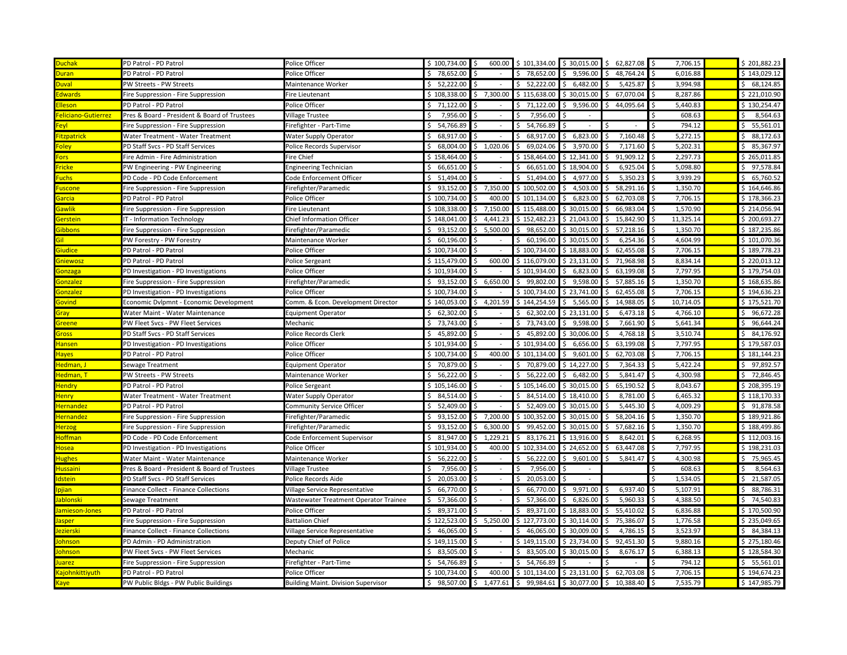| <b>Duchak</b>              | PD Patrol - PD Patrol                        | Police Officer                             | \$100,734.00    | I\$            | 600.00 \$ 101,334.00 \$ 30,015.00 \$ 62,827.08 \$             |                          |                           | 7,706.15  | \$201,882.23    |
|----------------------------|----------------------------------------------|--------------------------------------------|-----------------|----------------|---------------------------------------------------------------|--------------------------|---------------------------|-----------|-----------------|
| <b>Juran</b>               | PD Patrol - PD Patrol                        | Police Officer                             | \$78,652.00     |                | \$78.652.00                                                   | 9.596.00<br>Ŝ.           | 48.764.24                 | 6.016.88  | \$143.029.12    |
| <b>Juval</b>               | PW Streets - PW Streets                      | Maintenance Worker                         | \$52,222.00     |                | \$<br>52,222.00                                               | \$6,482.00               | 5,425.87                  | 3,994.98  | \$68,124.85     |
| dwards                     | Fire Suppression - Fire Suppression          | Fire Lieutenant                            | \$108,338.00    | \$7,300.00     | \$115,638.00                                                  | \$30,015.00              | 67,070.04<br>Ś            | 8,287.86  | \$221.010.90    |
| <b>Ileson</b>              | PD Patrol - PD Patrol                        | Police Officer                             | \$71,122.00     |                | 71,122.00                                                     | 9,596.00                 | 44,095.64                 | 5,440.83  | \$130,254.47    |
| <b>E</b> liciano-Gutierrez | Pres & Board - President & Board of Trustees | <b>Village Trustee</b>                     | 7,956.00        |                | 7,956.00                                                      |                          |                           | 608.63    | 8,564.63        |
| eyl-                       | Fire Suppression - Fire Suppression          | Firefighter - Part-Time                    | Ś.<br>54,766.89 | \$             | 54,766.89                                                     |                          |                           | 794.12    | 55,561.01<br>Ś. |
| <b>itzpatrick</b>          | Water Treatment - Water Treatment            | Water Supply Operator                      | \$68,917.00     | Ŝ.             | 68,917.00<br>Ś.                                               | \$6,823.00               | 7,160.48<br>\$            | 5,272.15  | \$88,172.63     |
| Foley:                     | PD Staff Svcs - PD Staff Services            | Police Records Supervisor                  | 68,004.00<br>S. | \$1,020.06     | Ś.<br>69,024.06                                               | \$3,970.00               | 7,171.60                  | 5,202.31  | \$85,367.97     |
| ors.                       | Fire Admin - Fire Administration             | ire Chief                                  | \$158,464.00    |                | \$158,464.00                                                  | \$12,341.00              | 91,909.12                 | 2,297.73  | \$265,011.85    |
| ricke                      | PW Engineering - PW Engineering              | <b>Engineering Technician</b>              | \$66,651.00     |                | 66,651.00<br>Ś.                                               | \$18,904.00              | 6,925.04                  | 5,098.80  | \$97,578.84     |
| <b>uchs</b>                | PD Code - PD Code Enforcement                | Code Enforcement Officer                   | 51,494.00<br>Ś. |                | 51,494.00<br>Ś.                                               | 4,977.00<br>\$.          | 5,350.23                  | 3,939.29  | \$65,760.52     |
| uscone                     | Fire Suppression - Fire Suppression          | Firefighter/Paramedic                      | 93,152.00<br>\$ | 7,350.00<br>Ś  | \$100,502.00                                                  | 4,503.00<br>\$           | 58,291.16                 | 1,350.70  | \$164,646.86    |
| <u>iarcial</u>             | PD Patrol - PD Patrol                        | Police Officer                             | \$100,734.00    | 400.00         | \$101,134.00                                                  | 6,823.00<br>l S          | 62,703.08                 | 7,706.15  | \$178,366.23    |
| <b>Sawlik</b>              | Fire Suppression - Fire Suppression          | Fire Lieutenant                            | \$108,338.00    | 7,150.00<br>Ś. | \$115,488.00                                                  | \$30,015.00              | 66,983.04                 | 1,570.90  | \$214,056.94    |
| <b>Serstein</b>            | IT - Information Technology                  | Chief Information Officer                  | \$148,041.00    | 4,441.23<br>S. | \$152,482.23                                                  | \$21,043.00              | 15,842.90<br>Ś            | 11,325.14 | \$200,693.27    |
| <b>ibbons</b>              | Fire Suppression - Fire Suppression          | irefighter/Paramedic                       | \$93,152.00     | 5,500.00<br>\$ | Ś.<br>98,652.00                                               | \$30,015.00              | 57,218.16                 | 1,350.70  | \$187,235.86    |
| ii.                        | PW Forestry - PW Forestry                    | Maintenance Worker                         | \$60,196.00     |                | Ś.<br>60,196.00                                               | \$30,015.00              | 6,254.36                  | 4,604.99  | \$101,070.36    |
| iudice                     | PD Patrol - PD Patrol                        | Police Officer                             | \$100,734.00    |                | \$100,734.00                                                  | \$18,883.00              | 62,455.08                 | 7,706.15  | \$189,778.23    |
| <mark>iniewos:</mark>      | PD Patrol - PD Patrol                        | Police Sergeant                            | \$115,479.00    | 600.00         | \$116,079.00                                                  | \$23,131.00              | 71,968.98                 | 8,834.14  | \$220,013.12    |
| <b>Gonzaga</b>             | PD Investigation - PD Investigations         | Police Officer                             | \$101.934.00    |                | \$101,934.00                                                  | 6,823.00<br>S.           | 63,199.08<br>Ś            | 7,797.95  | \$179,754.03    |
| <b>Sonzalez</b>            | Fire Suppression - Fire Suppression          | Firefighter/Paramedic                      | \$93,152.00     | Ś.<br>6,650.00 | \$99,802.00                                                   | 9,598.00<br>IS.          | 57,885.16<br>Ŝ.           | 1,350.70  | \$168,635.86    |
| <b>Gonzalez</b>            | PD Investigation - PD Investigations         | Police Officer                             | \$100.734.00    |                | \$100,734.00                                                  | \$23,741.00              | 62,455.08<br>Ś            | 7,706.15  | \$194,636.23    |
| iovind                     | Economic Dvlpmnt - Economic Development      | Comm. & Econ. Development Director         | \$140,053.00    | 4,201.59<br>S. | \$144,254.59                                                  | \$5,565.00               | 14,988.05                 | 10,714.05 | \$175,521.70    |
| <b>Gray</b>                | Water Maint - Water Maintenance              | Equipment Operator                         | 62,302.00<br>Ś. |                | 62,302.00                                                     | \$23,131.00              | 6,473.18                  | 4,766.10  | \$96,672.28     |
| <u>ireene</u>              | PW Fleet Svcs - PW Fleet Services            | Mechanic                                   | \$73,743.00     |                | Ś.<br>73,743.00                                               | 9,598.00<br>S.           | 7,661.90                  | 5,641.34  | \$96,644.24     |
| iross                      | PD Staff Svcs - PD Staff Services            | Police Records Clerk                       | 45,892.00<br>Ś. | Ŝ.             | 45,892.00<br>Ś.                                               | \$30,006.00              | 4,768.18                  | 3,510.74  | \$4,176.92      |
| <b>lansen</b>              | PD Investigation - PD Investigations         | Police Officer                             | \$101,934.00    |                | \$101,934.00                                                  | 6,656.00<br>Ŝ.           | 63,199.08                 | 7,797.95  | \$179,587.03    |
| <b>layes</b>               | PD Patrol - PD Patrol                        | Police Officer                             | \$100,734.00    | 400.00<br>Ŝ.   | \$101,134.00                                                  | 9,601.00<br>I\$          | 62,703.08                 | 7,706.15  | \$181,144.23    |
| ledman, I                  | Sewage Treatment                             | Equipment Operator                         | \$70,879.00     |                | \$70,879.00                                                   | \$14,227.00              | 7,364.33                  | 5,422.24  | \$97,892.57     |
| Hedman, T                  | PW Streets - PW Streets                      | Maintenance Worker                         | \$56,222.00     |                | Ś.<br>56,222.00                                               | \$6,482.00               | 5,841.47                  | 4,300.98  | \$72,846.45     |
| <b>Hendry</b>              | PD Patrol - PD Patrol                        | Police Sergeant                            | \$105,146.00    |                | \$105,146.00                                                  | \$30,015.00              | 65,190.52                 | 8,043.67  | \$208,395.19    |
| <b>Henry</b>               | Water Treatment - Water Treatment            | Water Supply Operator                      | \$4,514.00      | Ś.             | 84,514.00<br>Ś.                                               | \$18,410.00              | 8,781.00                  | 6,465.32  | \$118,170.33    |
| dernandez                  | PD Patrol - PD Patrol                        | Community Service Officer                  | \$52,409.00     |                | 52,409.00<br>\$                                               | \$30,015.00              | 5,445.30                  | 4,009.29  | \$91,878.58     |
| dernandez                  | Fire Suppression - Fire Suppression          | Firefighter/Paramedic                      | Ś.<br>93,152.00 | 7,200.00<br>ς. | \$100,352.00                                                  | \$30,015.00              | 58,204.16                 | 1,350.70  | \$189,921.86    |
| <b>lerzog</b>              | Fire Suppression - Fire Suppression          | Firefighter/Paramedic                      | 93,152.00<br>Ś. | 6,300.00<br>Ŝ. | 99,452.00<br>Ś.                                               | \$30,015.00              | 57,682.16<br><sub>S</sub> | 1,350.70  | \$188,499.86    |
| <b>Hoffman</b>             | PD Code - PD Code Enforcement                | Code Enforcement Supervisor                | \$31,947.00     | 1,229.21<br>Ŝ. | \$3,176.21                                                    | \$13,916.00              | 8,642.01                  | 6,268.95  | \$112,003.16    |
| tosea                      | PD Investigation - PD Investigations         | Police Officer                             | \$101,934.00    | 400.00         | \$102,334.00                                                  | \$24,652.00              | 63,447.08                 | 7,797.95  | \$198,231.03    |
| lughes                     | Water Maint - Water Maintenance              | Maintenance Worker                         | \$56,222.00     | $\sim$         | 56,222.00<br>S.                                               | 9,601.00<br>S.           | 5,841.47                  | 4,300.98  | \$75,965.45     |
| <u>Iussaini</u>            | Pres & Board - President & Board of Trustees | Village Trustee                            | 7,956.00<br>ς.  | S              | 7,956.00                                                      |                          |                           | 608.63    | 8,564.63<br>\$. |
| dstein                     | PD Staff Svcs - PD Staff Services            | Police Records Aide                        | \$20,053.00     |                | 20,053.00<br>Ś.                                               |                          |                           | 1,534.05  | \$21,587.05     |
| pjian                      | Finance Collect - Finance Collections        | Village Service Representative             | 66,770.00<br>\$ |                | 66,770.00<br>ς.                                               | 9,971.00<br>$\mathsf{S}$ | 6,937.40                  | 5,107.91  | 88,786.31<br>\$ |
| ablonski                   | Sewage Treatment                             | Wastewater Treatment Operator Trainee      | \$57,366.00     |                | 57,366.00<br>Ś.                                               | 6,826.00<br>S.           | 5,960.33                  | 4,388.50  | Ś.<br>74,540.83 |
| amieson-Jones              | PD Patrol - PD Patrol                        | Police Officer                             | \$89,371.00     | Š.             | \$<br>89,371.00                                               | \$18,883.00              | 55,410.02                 | 6,836.88  | \$170,500.90    |
| asper                      | Fire Suppression - Fire Suppression          | Battalion Chief                            | \$122,523.00    | \$5,250.00     | \$127,773.00                                                  | \$30,114.00              | 75,386.07                 | 1,776.58  | \$235,049.65    |
| ezierski                   | Finance Collect - Finance Collections        | Village Service Representative             | \$46,065.00     |                | Ś.<br>46,065.00                                               | \$30.009.00              | 4.786.15                  | 3,523.97  | \$4,384.13      |
| ohnson                     | PD Admin - PD Administration                 | Deputy Chief of Police                     | \$149,115.00    |                | \$149,115.00                                                  | \$23,734.00              | 92,451.30                 | 9,880.16  | \$275,180.46    |
| ohnson                     | PW Fleet Svcs - PW Fleet Services            | Mechanic                                   | \$3,505.00      | <sup>\$</sup>  | Ś.<br>83,505.00                                               | \$30,015.00              | 8,676.17                  | 6,388.13  | \$128,584.30    |
| uarez                      | Fire Suppression - Fire Suppression          | irefighter - Part-Time                     | \$54,766.89     | Ś              | \$<br>54,766.89                                               |                          |                           | 794.12    | \$5,561.01      |
| ajohn kittiyuth            | PD Patrol - PD Patrol                        | Police Officer                             | \$100.734.00    | 400.00<br>Ŝ.   | \$101,134.00                                                  | \$23,131.00              | 62,703.08<br>Ŝ.           | 7,706.15  | \$194,674.23    |
| Caye                       | PW Public Bldgs - PW Public Buildings        | <b>Building Maint. Division Supervisor</b> |                 |                | $$98,507.00 $$1,477.61 $$99,984.61 $30,077.00 $$10,388.40 $$$ |                          |                           | 7,535.79  | \$147,985.79    |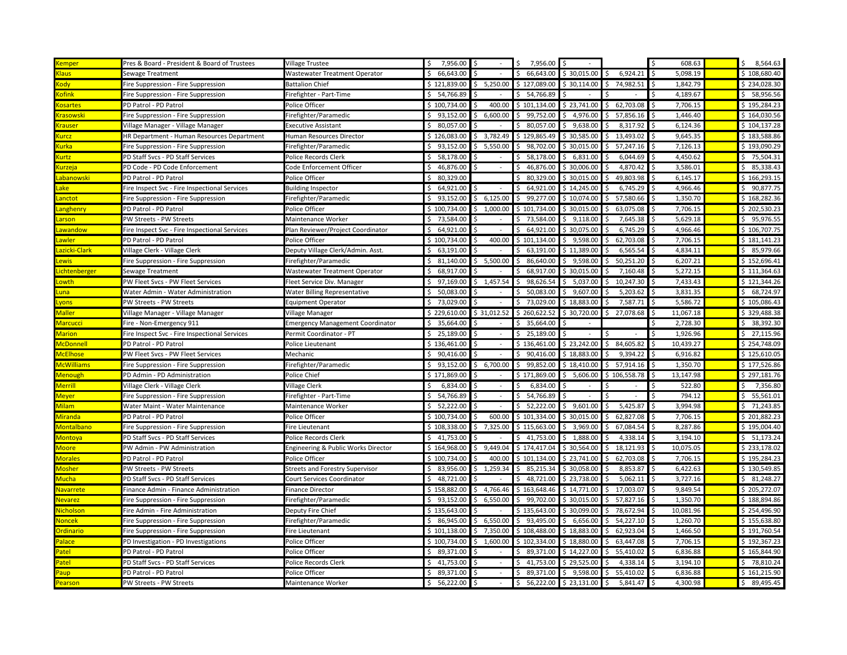| <u>(emper</u>             | Pres & Board - President & Board of Trustees  | Village Trustee                         | 7,956.00<br>\$  | \$                      | 7,956.00        | l \$                   |                 | 608.63                            | \$<br>8,564.63  |
|---------------------------|-----------------------------------------------|-----------------------------------------|-----------------|-------------------------|-----------------|------------------------|-----------------|-----------------------------------|-----------------|
| laus                      | Sewage Treatment                              | Wastewater Treatment Operator           | Ś.<br>66,643.00 |                         | \$<br>66,643.00 | \$ 30,015.00           | 6,924.21        | Ś<br>5,098.19                     | \$108.680.40    |
| ody                       | Fire Suppression - Fire Suppression           | <b>Battalion Chief</b>                  | \$121,839.00    | \$5,250.00              | \$127,089.00    | \$30,114.00            | 74,982.51<br>\$ | 1,842.79<br>l \$                  | \$234,028.30    |
| ofink                     | Fire Suppression - Fire Suppression           | Firefighter - Part-Time                 | \$54,766.89     |                         | \$54,766.89     |                        |                 | 4,189.67<br>Ś                     | \$58,956.56     |
| osartes                   | PD Patrol - PD Patrol                         | Police Officer                          | \$100,734.00    | $\hat{\zeta}$<br>400.00 | \$101,134.00    | \$23,741.00            | Ŝ.<br>62,703.08 | 7,706.15<br>$\breve{\phantom{a}}$ | \$195,284.23    |
| <b>rasowski</b>           | Fire Suppression - Fire Suppression           | Firefighter/Paramedic                   | \$93,152.00     | \$6,600.00              | \$99,752.00     | \$4,976.00             | 57,856.16<br>\$ | 1,446.40<br>Ŝ.                    | \$164,030.56    |
| rauser                    | Village Manager - Village Manager             | Executive Assistant                     | \$80,057.00     |                         | \$80,057.00     | \$9,638.00             | 8,317.92<br>Ś   | 6,124.36<br>¢                     | \$104,137.28    |
| urcz                      | HR Department - Human Resources Department    | Human Resources Director                | \$126,083.00    | \$3,782.49              | \$129,865.49    | \$30,585.00            | Ŝ.<br>13,493.02 | 9,645.35<br>Ŝ.                    | \$183,588.86    |
| urka                      | Fire Suppression - Fire Suppression           | Firefighter/Paramedic                   | Ś.<br>93,152.00 | 5,550.00<br>\$.         | \$98,702.00     | \$30,015.00            | 57,247.16<br>Ś  | 7,126.13                          | \$193,090.29    |
| urtz                      | PD Staff Svcs - PD Staff Services             | Police Records Clerk                    | \$<br>58,178.00 |                         | \$58,178.00     | \$6,831.00             | 6,044.69<br>\$. | 4,450.62<br>.S                    | \$75,504.31     |
| urzeja                    | PD Code - PD Code Enforcement                 | Code Enforcement Officer                | \$<br>46,876.00 | Ś                       | \$<br>46,876.00 | \$30,006.00            | 4,870.42<br>Ś   | 3,586.01<br>Ś                     | \$85,338.43     |
| <mark>abanowski</mark>    | PD Patrol - PD Patrol                         | Police Officer                          | 80,329.00<br>\$ |                         | 80,329.00<br>Ś. | \$30,015.00            | 49,803.98<br>S  | 6,145.17                          | \$166,293.15    |
| ake                       | Fire Inspect Svc - Fire Inspectional Services | <b>Building Inspector</b>               | 64,921.00<br>Ś. |                         | 64,921.00<br>\$ | \$14,245.00            | 6,745.29<br>ς   | 4,966.46                          | \$90,877.75     |
| anctot                    | Fire Suppression - Fire Suppression           | Firefighter/Paramedic                   | Ś.<br>93,152.00 | 6,125.00<br>S.          | 99,277.00<br>\$ | \$10,074.00            | 57,580.66<br>Ŝ  | 1,350.70                          | \$168,282.36    |
| anghenry                  | PD Patrol - PD Patrol                         | Police Officer                          | \$100,734.00    | \$1,000.00              | \$101,734.00    | \$30,015.00            | 63,075.08       | 7,706.15                          | \$202,530.23    |
| arson                     | PW Streets - PW Streets                       | Maintenance Worker                      | \$73,584.00     |                         | \$73,584.00     | \$9,118.00             | 7,645.38        | 5,629.18                          | \$95,976.55     |
| <mark>awandow</mark>      | Fire Inspect Svc - Fire Inspectional Services | Plan Reviewer/Project Coordinator       | \$<br>64,921.00 |                         | \$64,921.00     | \$30,075.00            | 6,745.29        | 4,966.46                          | \$106,707.75    |
| awler                     | PD Patrol - PD Patrol                         | Police Officer                          | \$100,734.00    | 400.00<br>Ś             | \$101,134.00    | 9,598.00<br>Ś.         | 62,703.08<br>Ś  | 7,706.15                          | \$181,141.23    |
| <mark>azicki-Clark</mark> | Village Clerk - Village Clerk                 | Deputy Village Clerk/Admin. Asst        | 63,191.00<br>ς. |                         | 63,191.00<br>Ś. | \$11,389.00            | 6,565.54<br>Ś   | 4,834.11<br>Ś                     | \$<br>85,979.66 |
| ewis                      | Fire Suppression - Fire Suppression           | Firefighter/Paramedic                   | 81,140.00<br>ς. | 5,500.00<br>Ŝ.          | Ś.<br>86,640.00 | 9,598.00<br>Ŝ.         | 50,251.20<br>Ś  | 6,207.21<br>Š.                    | \$152,696.41    |
| ichtenberger.             | Sewage Treatment                              | Wastewater Treatment Operator           | Ŝ.<br>68,917.00 |                         | \$68,917.00     | \$30,015.00            | 7,160.48<br>Ŝ   | 5,272.15<br>Ŝ.                    | \$111,364.63    |
| owth.                     | PW Fleet Svcs - PW Fleet Services             | Fleet Service Div. Manager              | \$97,169.00     | \$1,457.54              | \$98,626.54     | \$5,037.00             | 10,247.30<br>Ŝ  | 7,433.43                          | \$121,344.26    |
| <u>unal</u>               | Water Admin - Water Administration            | Water Billing Representative            | Ś.<br>50,083.00 |                         | 50,083.00<br>Ś. | \$9,607.00             | 5,203.62<br>Ŝ   | 3,831.35<br>Ŝ.                    | \$68,724.97     |
| <b>vons</b>               | PW Streets - PW Streets                       | Equipment Operator                      | \$73,029.00     |                         | \$73,029.00     | \$18,883.00            | 7,587.71<br>Ŝ   | 5,586.72<br>-Ś                    | \$105,086.43    |
| <b>Aaller</b>             | Village Manager - Village Manager             | Village Manager                         | \$229,610.00    | \$31,012.52             | \$260,622.52    | \$30,720.00            | \$<br>27,078.68 | 11,067.18<br>۱Ś                   | \$329,488.38    |
| <mark>Aarcucci</mark>     | Fire - Non-Emergency 911                      | <b>Emergency Management Coordinator</b> | \$<br>35,664.00 | S                       | \$35,664.00     |                        |                 | 2,728.30                          | \$38,392.30     |
| <b>Aarion</b>             | Fire Inspect Svc - Fire Inspectional Services | Permit Coordinator - PT                 | 25,189.00<br>\$ |                         | 25,189.00<br>\$ |                        | Ŝ               | 1,926.96                          | \$27,115.96     |
| <mark>AcDonnell</mark>    | PD Patrol - PD Patrol                         | Police Lieutenant                       | \$136,461.00    |                         | \$136,461.00    | \$23,242.00            | 84,605.82<br>Ś  | 10,439.27<br>Ś                    | \$254,748.09    |
| <b>AcElhose</b>           | PW Fleet Svcs - PW Fleet Services             | Mechanic                                | Ś.<br>90,416.00 |                         | 90,416.00<br>\$ | \$18,883.00            | 9,394.22        | 6,916.82                          | \$125,610.05    |
| <mark>AcWilliams</mark>   | Fire Suppression - Fire Suppression           | Firefighter/Paramedic                   | \$93,152.00     | \$6,700.00              | \$99,852.00     | \$18,410.00            | \$5, 57, 914.16 | 1,350.70<br>۱\$                   | \$177,526.86    |
| <mark>/denough</mark>     | PD Admin - PD Administration                  | Police Chief                            | \$171,869.00    | Ś                       | \$171,869.00    | \$5,606.00             | \$106,558.78    | 13,147.98<br><sup>\$</sup>        | \$297,181.76    |
| <b>Merrill</b>            | Village Clerk - Village Clerk                 | Village Clerk                           | \$<br>6,834.00  | Ś                       | 6,834.00<br>Ś   |                        |                 | 522.80                            | 7,356.80<br>\$  |
| <u>Aeyer</u>              | Fire Suppression - Fire Suppression           | Firefighter - Part-Time                 | 54,766.89<br>Ŝ. | $\zeta$                 | 54,766.89<br>Ś. |                        | Ś               | 794.12                            | 55,561.01<br>\$ |
| <i><b>Ailam</b></i>       | Water Maint - Water Maintenance               | Maintenance Worker                      | 52,222.00<br>¢. | $\zeta$                 | 52,222.00<br>\$ | 9,601.00<br><b>S</b>   | 5,425.87<br>\$  | 3,994.98<br>Ś                     | \$<br>71,243.85 |
| Airanda                   | PD Patrol - PD Patrol                         | Police Officer                          | \$100,734.00    | 600.00<br>Š.            | \$101,334.00    | \$30,015.00            | 62,827.08<br>Ŝ. | 7,706.15                          | \$201,882.23    |
| <b>Aontalbano</b>         | Fire Suppression - Fire Suppression           | Fire Lieutenant                         | \$108,338.00    | \$<br>7,325.00          | \$115,663.00    | \$3,969.00             | 67,084.54<br>Ŝ  | 8,287.86                          | \$195,004.40    |
| <b>Aontoya</b>            | PD Staff Svcs - PD Staff Services             | Police Records Clerk                    | \$41,753.00     |                         | \$41,753.00     | \$1,888.00             | 4,338.14        | 3,194.10                          | \$51,173.24     |
| <b>Moore</b>              | PW Admin - PW Administration                  | Engineering & Public Works Director     | \$164,968.00    | 9,449.04<br>\$          | \$174,417.04    | \$30,564.00            | 18,121.93<br>\$ | 10,075.05<br><sup>\$</sup>        | \$233,178.02    |
| <b>Aorales</b>            | PD Patrol - PD Patrol                         | Police Officer                          | \$100,734.00    | 400.00                  | \$101,134.00    | \$23,741.00            | 62,703.08<br>Ś  | 7,706.15<br><sup>\$</sup>         | \$195,284.23    |
| <b>Mosher</b>             | PW Streets - PW Streets                       | Streets and Forestry Supervisor         | \$<br>83,956.00 | 1,259.34<br>\$          | \$85,215.34     | \$30,058.00            | 8,853.87<br>\$  | 6,422.63<br>۱\$                   | \$130,549.85    |
| Aucha                     | PD Staff Svcs - PD Staff Services             | Court Services Coordinator              | 48,721.00<br>\$ |                         | \$48,721.00     | \$23,738.00            | 5,062.11<br>Ŝ   | 3,727.16<br>l \$                  | \$3,248.27      |
| lavarrete                 | Finance Admin - Finance Administration        | Finance Director                        | \$158,882.00    | 4,766.46<br>Ś           | \$163,648.46    | \$14,771.00            | 17,003.07<br>Ŝ  | 9,849.54                          | \$205,272.07    |
| <b>levarez</b>            | Fire Suppression - Fire Suppression           | Firefighter/Paramedic                   | \$93,152.00     | \$6,550.00              | \$99,702.00     | \$30,015.00            | Ś.<br>57,827.16 | 1,350.70                          | \$188,894.86    |
| <b>Nicholson</b>          | Fire Admin - Fire Administration              | Deputy Fire Chief                       | \$135,643.00    |                         | \$135,643.00    | \$30,099.00            | 78,672.94<br>Ś. | 10,081.96                         | \$254,496.90    |
| <b>Noncek</b>             | Fire Suppression - Fire Suppression           | Firefighter/Paramedic                   | \$86,945.00     | \$6,550.00              | \$93,495.00     | \$6,656.00             | 54,227.10<br>Ś  | 1,260.70<br>l \$                  | \$155,638.80    |
| <mark>rdinario</mark>     | Fire Suppression - Fire Suppression           | Fire Lieutenant                         | \$101,138.00    | \$7,350.00              | \$108,488.00    | \$18,883.00            | 62,923.04<br>Ś  | 1,466.50                          | \$191,760.54    |
| alace                     | PD Investigation - PD Investigations          | Police Officer                          | \$100,734.00    | 1,600.00<br>\$          | \$102,334.00    | \$18,880.00            | 63,447.08<br>Ŝ  | 7,706.15<br>.S                    | \$192,367.23    |
| atel                      | PD Patrol - PD Patrol                         | Police Officer                          | 89,371.00<br>ς. | S,                      | 89,371.00<br>Ś. | \$14,227.00            | 55,410.02<br>Ś  | 6,836.88                          | \$165,844.90    |
| atel                      | PD Staff Svcs - PD Staff Services             | Police Records Clerk                    | 41,753.00       | Ŝ.                      | Ś.<br>41,753.00 | \$29,525.00            | 4,338.14<br>Ŝ   | 3,194.10<br>-Ś                    | \$<br>78,810.24 |
| aup                       | PD Patrol - PD Patrol                         | Police Officer                          | 89,371.00<br>Ŝ. | Ŝ.                      | Ś.<br>89,371.00 | \$9,598.00             | 55,410.02<br>Ŝ. | 6,836.88                          | \$161,215.90    |
| earson                    | PW Streets - PW Streets                       | Maintenance Worker                      | 56,222.00<br>\$ | \$<br>$\blacksquare$    | \$              | 56,222.00 \$ 23,131.00 | 5,841.47<br>\$  | 4,300.98                          | \$89,495.45     |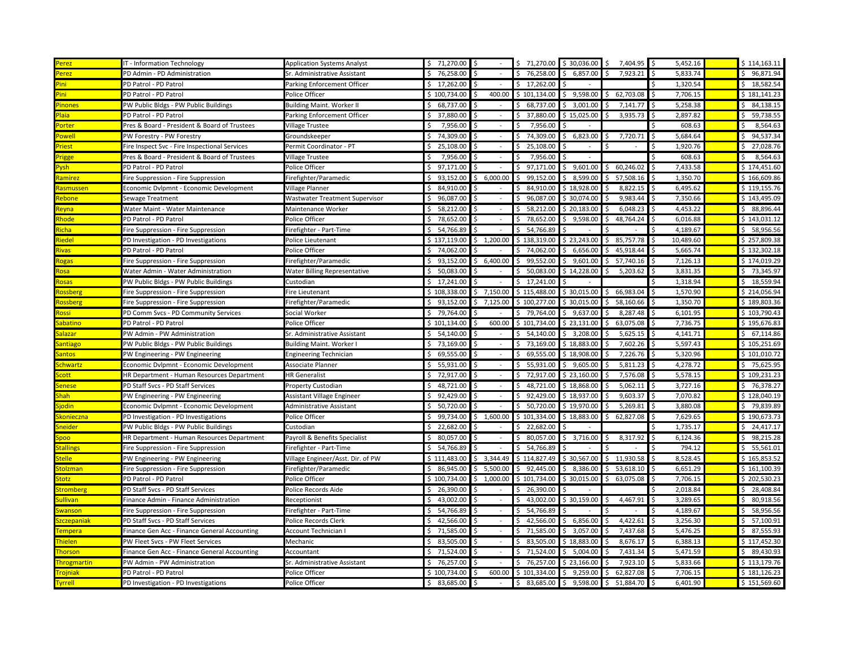| erez               | IT - Information Technology                   | <b>Application Systems Analyst</b> | \$71,270.00          | \$             | \$71,270.00     | \$30,036.00      | 7,404.95<br>Ŝ.                        | I۶<br>5,452.16  | \$114,163.11    |
|--------------------|-----------------------------------------------|------------------------------------|----------------------|----------------|-----------------|------------------|---------------------------------------|-----------------|-----------------|
| Perez              | PD Admin - PD Administration                  | Sr. Administrative Assistant       | \$76,258.00          |                | Ś.<br>76,258.00 | 6,857.00         | 7,923.21                              | 5,833.74        | \$96,871.94     |
| <sup>2</sup> ini   | PD Patrol - PD Patrol                         | Parking Enforcement Officer        | \$17,262.00          | \$             | 17,262.00<br>Ś. |                  |                                       | 1,320.54        | \$18,582.54     |
| <sup>2</sup> ini   | PD Patrol - PD Patrol                         | Police Officer                     | \$100,734.00         | 400.00         | \$101,134.00    | 9,598.00<br>\$   | 62,703.08<br>Ś                        | 7,706.15        | \$181,141.23    |
| 'inones            | PW Public Bldgs - PW Public Buildings         | <b>Building Maint. Worker II</b>   | 68,737.00            | ς              | 68,737.00       | 3,001.00         | 7,141.77                              | 5,258.38        | 84,138.15<br>Ś. |
| Plaia              | PD Patrol - PD Patrol                         | Parking Enforcement Officer        | \$37,880.00          | Ŝ.             | 37,880.00       | \$15,025.00      | 3,935.73                              | 2,897.82<br>Ŝ.  | \$59,738.55     |
| Porter             | Pres & Board - President & Board of Trustees  | Village Trustee                    | 7,956.00<br>ς.       | Ŝ.             | 7,956.00<br>ς.  |                  |                                       | 608.63          | 8,564.63<br>ς.  |
| 'owell             | PW Forestry - PW Forestry                     | Groundskeeper                      | \$74,309.00          | Ŝ.             | 74,309.00<br>Ś. | 6,823.00<br>S.   | 7,720.71                              | 5,684.64<br>Ŝ   | \$94,537.34     |
| <b>riest</b>       | Fire Inspect Svc - Fire Inspectional Services | Permit Coordinator - PT            | \$25,108.00          | Ś              | 25,108.00<br>Ś. |                  | $\sim$                                | 1,920.76        | \$27,028.76     |
| 'rigge             | Pres & Board - President & Board of Trustees  | Village Trustee                    | 7,956.00             |                | 7,956.00        |                  |                                       | 608.63          | 8,564.63<br>Ś   |
| ysh                | PD Patrol - PD Patrol                         | Police Officer                     | \$97,171.00          |                | \$<br>97,171.00 | \$<br>9,601.00   | 60,246.02<br>Ś                        | 7,433.58        | \$174,451.60    |
| amirez             | Fire Suppression - Fire Suppression           | Firefighter/Paramedic              | 93,152.00<br>\$      | 6,000.00<br>Ś  | 99,152.00<br>Ś. | 8,599.00<br>S.   | 57,508.16                             | 1,350.70        | \$166,609.86    |
| tasmussen          | Economic Dvlpmnt - Economic Development       | Village Planner                    | Ś.<br>84,910.00      |                | 84,910.00<br>Ś. | \$18,928.00      | 8,822.15                              | 6,495.62<br>I\$ | \$119,155.76    |
| <b>lebone</b>      | Sewage Treatment                              | Wastwater Treatment Supervisor     | \$96,087.00          | Ŝ.             | Ś.<br>96,087.00 | \$30,074.00      | 9,983.44                              | 7,350.66        | \$143,495.09    |
| <b>leyna</b>       | Water Maint - Water Maintenance               | Maintenance Worker                 | \$58,212.00          |                | Ś.<br>58,212.00 | \$20,183.00      | 6,048.23                              | 4,453.22        | \$88,896.44     |
| <b>hode</b>        | PD Patrol - PD Patrol                         | Police Officer                     | \$78,652.00          |                | Ś.<br>78,652.00 | 9,598.00<br>Ś.   | 48,764.24                             | 6,016.88        | \$143,031.12    |
| icha               | Fire Suppression - Fire Suppression           | Firefighter - Part-Time            | \$54,766.89          |                | 54,766.89<br>\$ |                  |                                       | 4,189.67        | \$58,956.56     |
| iedel              | PD Investigation - PD Investigations          | Police Lieutenant                  | \$137,119.00         | 1,200.00<br>Ś  | \$138,319.00    | \$23,243.00      | 85,757.78<br>ς                        | 10,489.60       | \$257,809.38    |
| <u>livas</u>       | PD Patrol - PD Patrol                         | Police Officer                     | \$74,062.00          |                | 74,062.00       | 6,656.00         | 45,918.44                             | 5,665.74        | \$132,302.18    |
| <b>logas</b>       | Fire Suppression - Fire Suppression           | Firefighter/Paramedic              | \$93,152.00          | Ŝ.<br>6,400.00 | Ś.<br>99,552.00 | 9,601.00<br>Š.   | 57,740.16<br>ς.                       | 7,126.13        | \$174,019.29    |
| losa               | Water Admin - Water Administration            | Water Billing Representative       | \$50,083.00          |                | 50,083.00<br>S. | \$14,228.00      | 5,203.62                              | 3,831.35        | \$73,345.97     |
| losas              | PW Public Bldgs - PW Public Buildings         | Custodian                          | \$17,241.00          | $\sim$         | \$17,241.00     |                  |                                       | 1,318.94        | \$18,559.94     |
| tossberg           | Fire Suppression - Fire Suppression           | Fire Lieutenant                    | \$108,338.00         | 7,150.00<br>\$ | \$115,488.00    | \$30,015.00      | 66,983.04<br>Ś                        | 1,570.90<br>I\$ | \$214,056.94    |
| tossberg           | Fire Suppression - Fire Suppression           | Firefighter/Paramedic              | \$93,152.00          | 7,125.00<br>Ś  | \$100,277.00    | \$30,015.00      | 58,160.66                             | 1,350.70        | \$189,803.36    |
| <mark>lossi</mark> | PD Comm Svcs - PD Community Services          | Social Worker                      | 79,764.00<br>\$      |                | \$<br>79,764.00 | 9,637.00<br>\$.  | 8,287.48                              | 6,101.95        | \$103,790.43    |
| abatino            | PD Patrol - PD Patrol                         | Police Officer                     | \$101,134.00         | 600.00         | \$101,734.00    | \$23,131.00      | 63,075.08                             | 7,736.75        | \$195,676.83    |
| alazar             | W Admin - PW Administration                   | Sr. Administrative Assistant       | \$54,140.00          |                | \$<br>54,140.00 | 3,208.00<br>I\$  | 5,625.15                              | 4,141.71        | \$67,114.86     |
| antiago            | PW Public Bldgs - PW Public Buildings         | <b>Building Maint. Worker I</b>    | \$73,169.00          |                | Ś.<br>73,169.00 | \$18,883.00      | 7,602.26                              | 5,597.43        | \$105,251.69    |
| antos              | PW Engineering - PW Engineering               | Engineering Technician             | \$69,555.00          | Ŝ.             | \$<br>69,555.00 | \$18,908.00      | 7,226.76                              | 5,320.96        | \$101,010.72    |
| chwartz            | Economic Dvlpmnt - Economic Development       | Associate Planner                  | \$5,931.00           |                | 55,931.00<br>Ś. | 9,605.00<br>Ŝ.   | 5,811.23                              | 4,278.72        | \$75,625.95     |
| cott               | HR Department - Human Resources Department    | <b>HR Generalist</b>               | \$72,917.00          | \$             | 72,917.00       | \$23,160.00      | 7,576.08                              | 5,578.15        | \$109,231.23    |
| enese              | PD Staff Svcs - PD Staff Services             | Property Custodian                 | 48,721.00            |                | 48,721.00       | \$18,868.00      | 5,062.11                              | 3,727.16        | 76,378.27<br>\$ |
| hah                | PW Engineering - PW Engineering               | Assistant Village Engineer         | 92,429.00            | ¢              | 92,429.00       | \$18,937.00      | 9,603.37                              | 7,070.82        | \$128,040.19    |
| iodin              | Economic Dvlpmnt - Economic Development       | Administrative Assistant           | \$50,720.00          | Ŝ.             | 50,720.00<br>Ś. | \$19,970.00      | 5,269.81<br>Ś                         | 3,880.08        | \$79,839.89     |
| konieczna          | PD Investigation - PD Investigations          | Police Officer                     | \$99,734.00          | \$1,600.00     | \$101,334.00    | \$18,883.00      | 62,827.08                             | 7,629.65        | \$190,673.73    |
| neider             | PW Public Bldgs - PW Public Buildings         | Custodian                          | \$22,682.00          |                | \$22,682.00     |                  |                                       | 1,735.17        | \$24,417.17     |
| poo                | HR Department - Human Resources Department    | Payroll & Benefits Specialist      | \$80,057.00          |                | 80,057.00<br>\$ | \$3,716.00       | 8,317.92                              | 6,124.36        | \$98,215.28     |
| tallings           | Fire Suppression - Fire Suppression           | Firefighter - Part-Time            | Ś.<br>54,766.89      |                | 54,766.89<br>Ś. |                  |                                       | 794.12          | \$5,561.01      |
| telle              | PW Engineering - PW Engineering               | Village Engineer/Asst. Dir. of PW  | \$111,483.00         | 3,344.49<br>Ś  | \$114,827.49    | \$30,567.00      | 11,930.58<br>Ś                        | 8,528.45        | \$165,853.52    |
| tolzman            | Fire Suppression - Fire Suppression           | Firefighter/Paramedic              | 86,945.00<br>\$      | 5,500.00       | 92,445.00<br>\$ | 8,386.00<br>l \$ | 53,618.10                             | 6,651.29        | \$161,100.39    |
| totz               | PD Patrol - PD Patrol                         | Police Officer                     | \$100,734.00         | 1,000.00<br>Ś  | \$101,734.00    | \$30,015.00      | 63,075.08                             | 7,706.15        | \$202,530.23    |
| tromberg           | PD Staff Svcs - PD Staff Services             | Police Records Aide                | \$26,390.00          |                | \$26,390.00     |                  |                                       | 2,018.84        | \$28,408.84     |
| <b>Sullivan</b>    | Finance Admin - Finance Administration        | Receptionist                       | \$43,002.00          |                | Ś.<br>43,002.00 | \$30,159.00      | 4,467.91                              | 3,289.65        | \$80,918.56     |
| wanson             | Fire Suppression - Fire Suppression           | irefighter - Part-Time             | \$54,766.89          | $\zeta$        | Ś.<br>54,766.89 |                  |                                       | 4,189.67        | \$58,956.56     |
| szczepania         | PD Staff Svcs - PD Staff Services             | Police Records Clerk               | 42,566.00<br>\$      | \$             | 42,566.00<br>Ś. | 6,856.00<br>\$   | 4,422.61                              | 3,256.30        | \$57,100.91     |
| <b>Tempera</b>     | Finance Gen Acc - Finance General Accounting  | Account Technician I               | 71,585.00<br>Ś.      | ς.             | 71,585.00       | 3,057.00         | 7,437.68                              | 5,476.25        | 87,555.93<br>Ś. |
| <b>Thielen</b>     | PW Fleet Svcs - PW Fleet Services             | Mechanic                           | 83,505.00<br>$\zeta$ | Ŝ.             | 83,505.00<br>Ś. | \$18,883.00      | 8,676.17                              | 6,388.13        | \$117,452.30    |
| <b>Thorson</b>     | Finance Gen Acc - Finance General Accounting  | Accountant                         | \$71,524.00          | Ŝ.             | \$71,524.00     | 5,004.00<br>S.   | 7,431.34                              | 5,471.59        | \$89,430.93     |
| Throgmartin        | PW Admin - PW Administration                  | Sr. Administrative Assistant       | \$76,257.00          | S              | 76,257.00<br>S. | \$23,166.00      | 7,923.10                              | 5,833.66        | \$113,179.76    |
| <b>Trojniak</b>    | PD Patrol - PD Patrol                         | Police Officer                     | \$100,734.00         | 600.00<br>Ś    | \$101,334.00    | \$9,259.00       | 62,827.08                             | 7,706.15        | \$181,126.23    |
| <u>iyrrell</u>     | PD Investigation - PD Investigations          | Police Officer                     | \$3,685.00           | l \$<br>$\sim$ |                 |                  | $$3,685.00 \$9,598.00 \$51,884.70 \$$ | 6,401.90        | \$151,569.60    |